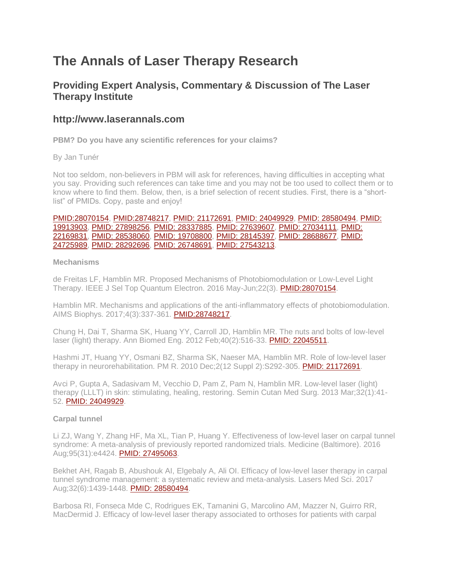# **The Annals of Laser Therapy Research**

# **Providing Expert Analysis, Commentary & Discussion of The Laser Therapy Institute**

# **http://www.laserannals.com**

**PBM? Do you have any scientific references for your claims?**

By Jan Tunér

Not too seldom, non-believers in PBM will ask for references, having difficulties in accepting what you say. Providing such references can take time and you may not be too used to collect them or to know where to find them. Below, then, is a brief selection of recent studies. First, there is a "shortlist" of PMIDs. Copy, paste and enjoy!

#### [PMID:28070154,](https://www.ncbi.nlm.nih.gov/pubmed/28070154) [PMID:28748217,](https://www.ncbi.nlm.nih.gov/pubmed/28748217) [PMID: 21172691,](https://www.ncbi.nlm.nih.gov/pubmed/21172691) [PMID: 24049929,](https://www.ncbi.nlm.nih.gov/pubmed/24049929) [PMID: 28580494,](https://www.ncbi.nlm.nih.gov/pubmed/28580494) [PMID:](https://www.ncbi.nlm.nih.gov/pubmed/19913903)  [19913903,](https://www.ncbi.nlm.nih.gov/pubmed/19913903) [PMID: 27898256,](https://www.ncbi.nlm.nih.gov/pubmed/27898256) [PMID: 28337885,](https://www.ncbi.nlm.nih.gov/pubmed/28337885) [PMID: 27639607,](https://www.ncbi.nlm.nih.gov/pubmed/27639607) [PMID: 27034111,](https://www.ncbi.nlm.nih.gov/pubmed/27034111) [PMID:](https://www.ncbi.nlm.nih.gov/pubmed/22169831)  [22169831,](https://www.ncbi.nlm.nih.gov/pubmed/22169831) [PMID: 28538060,](https://www.ncbi.nlm.nih.gov/pubmed/28538060) [PMID: 19708800,](https://www.ncbi.nlm.nih.gov/pubmed/19708800) [PMID: 28145397,](https://www.ncbi.nlm.nih.gov/pubmed/28145397) [PMID: 28688677,](https://www.ncbi.nlm.nih.gov/pubmed/28688677) [PMID:](https://www.ncbi.nlm.nih.gov/pubmed/24725989)  [24725989,](https://www.ncbi.nlm.nih.gov/pubmed/24725989) [PMID: 28292696,](https://www.ncbi.nlm.nih.gov/pubmed/28292696) [PMID: 26748691,](https://www.ncbi.nlm.nih.gov/pubmed/26748691) [PMID: 27543213.](https://www.ncbi.nlm.nih.gov/pubmed/27543213)

#### **Mechanisms**

de Freitas LF, Hamblin MR. Proposed Mechanisms of Photobiomodulation or Low-Level Light Therapy. IEEE J Sel Top Quantum Electron. 2016 May-Jun;22(3). [PMID:28070154.](https://www.ncbi.nlm.nih.gov/pubmed/28070154)

Hamblin MR. Mechanisms and applications of the anti-inflammatory effects of photobiomodulation. AIMS Biophys. 2017;4(3):337-361. [PMID:28748217.](https://www.ncbi.nlm.nih.gov/pubmed/28748217)

Chung H, Dai T, Sharma SK, Huang YY, Carroll JD, Hamblin MR. The nuts and bolts of low-level laser (light) therapy. Ann Biomed Eng. 2012 Feb;40(2):516-33. [PMID: 22045511.](https://www.ncbi.nlm.nih.gov/pubmed/22045511)

Hashmi JT, Huang YY, Osmani BZ, Sharma SK, Naeser MA, Hamblin MR. Role of low-level laser therapy in neurorehabilitation. PM R. 2010 Dec;2(12 Suppl 2):S292-305. [PMID: 21172691.](https://www.ncbi.nlm.nih.gov/pubmed/21172691)

Avci P, Gupta A, Sadasivam M, Vecchio D, Pam Z, Pam N, Hamblin MR. Low-level laser (light) therapy (LLLT) in skin: stimulating, healing, restoring. Semin Cutan Med Surg. 2013 Mar;32(1):41- 52. [PMID: 24049929.](https://www.ncbi.nlm.nih.gov/pubmed/24049929)

## **Carpal tunnel**

Li ZJ, Wang Y, Zhang HF, Ma XL, Tian P, Huang Y. Effectiveness of low-level laser on carpal tunnel syndrome: A meta-analysis of previously reported randomized trials. Medicine (Baltimore). 2016 Aug;95(31):e4424. [PMID: 27495063.](https://www.ncbi.nlm.nih.gov/pubmed/27495063)

Bekhet AH, Ragab B, Abushouk AI, Elgebaly A, Ali OI. Efficacy of low-level laser therapy in carpal tunnel syndrome management: a systematic review and meta-analysis. Lasers Med Sci. 2017 Aug;32(6):1439-1448. **PMID: 28580494**.

Barbosa RI, Fonseca Mde C, Rodrigues EK, Tamanini G, Marcolino AM, Mazzer N, Guirro RR, MacDermid J. Efficacy of low-level laser therapy associated to orthoses for patients with carpal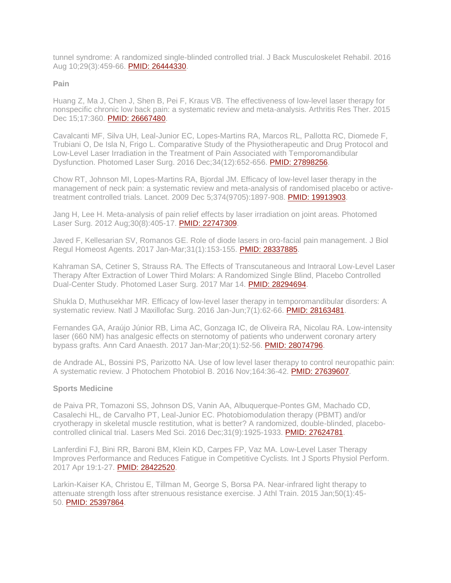tunnel syndrome: A randomized single-blinded controlled trial. J Back Musculoskelet Rehabil. 2016 Aug 10;29(3):459-66. [PMID: 26444330.](https://www.ncbi.nlm.nih.gov/pubmed/26444330)

#### **Pain**

Huang Z, Ma J, Chen J, Shen B, Pei F, Kraus VB. The effectiveness of low-level laser therapy for nonspecific chronic low back pain: a systematic review and meta-analysis. Arthritis Res Ther. 2015 Dec 15:17:360. [PMID: 26667480.](https://www.ncbi.nlm.nih.gov/pubmed/26667480)

Cavalcanti MF, Silva UH, Leal-Junior EC, Lopes-Martins RA, Marcos RL, Pallotta RC, Diomede F, Trubiani O, De Isla N, Frigo L. Comparative Study of the Physiotherapeutic and Drug Protocol and Low-Level Laser Irradiation in the Treatment of Pain Associated with Temporomandibular Dysfunction. Photomed Laser Surg. 2016 Dec;34(12):652-656. [PMID: 27898256.](https://www.ncbi.nlm.nih.gov/pubmed/27898256)

Chow RT, Johnson MI, Lopes-Martins RA, Bjordal JM. Efficacy of low-level laser therapy in the management of neck pain: a systematic review and meta-analysis of randomised placebo or activetreatment controlled trials. Lancet. 2009 Dec 5;374(9705):1897-908. [PMID: 19913903.](https://www.ncbi.nlm.nih.gov/pubmed/19913903)

Jang H, Lee H. Meta-analysis of pain relief effects by laser irradiation on joint areas. Photomed Laser Surg. 2012 Aug;30(8):405-17. [PMID: 22747309.](https://www.ncbi.nlm.nih.gov/pubmed/22747309)

Javed F, Kellesarian SV, Romanos GE. Role of diode lasers in oro-facial pain management. J Biol Regul Homeost Agents. 2017 Jan-Mar;31(1):153-155. [PMID: 28337885.](https://www.ncbi.nlm.nih.gov/pubmed/28337885)

Kahraman SA, Cetiner S, Strauss RA. The Effects of Transcutaneous and Intraoral Low-Level Laser Therapy After Extraction of Lower Third Molars: A Randomized Single Blind, Placebo Controlled Dual-Center Study. Photomed Laser Surg. 2017 Mar 14. [PMID: 28294694.](https://www.ncbi.nlm.nih.gov/pubmed/28294694)

Shukla D, Muthusekhar MR. Efficacy of low-level laser therapy in temporomandibular disorders: A systematic review. Natl J Maxillofac Surg. 2016 Jan-Jun;7(1):62-66. [PMID: 28163481.](https://www.ncbi.nlm.nih.gov/pubmed/28163481)

Fernandes GA, Araújo Júnior RB, Lima AC, Gonzaga IC, de Oliveira RA, Nicolau RA. Low-intensity laser (660 NM) has analgesic effects on sternotomy of patients who underwent coronary artery bypass grafts. Ann Card Anaesth. 2017 Jan-Mar;20(1):52-56. [PMID: 28074796.](https://www.ncbi.nlm.nih.gov/pubmed/28074796)

de Andrade AL, Bossini PS, Parizotto NA. Use of low level laser therapy to control neuropathic pain: A systematic review. J Photochem Photobiol B. 2016 Nov;164:36-42. **PMID: 27639607**.

#### **Sports Medicine**

de Paiva PR, Tomazoni SS, Johnson DS, Vanin AA, Albuquerque-Pontes GM, Machado CD, Casalechi HL, de Carvalho PT, Leal-Junior EC. Photobiomodulation therapy (PBMT) and/or cryotherapy in skeletal muscle restitution, what is better? A randomized, double-blinded, placebocontrolled clinical trial. Lasers Med Sci. 2016 Dec;31(9):1925-1933. [PMID: 27624781.](https://www.ncbi.nlm.nih.gov/pubmed/27624781)

Lanferdini FJ, Bini RR, Baroni BM, Klein KD, Carpes FP, Vaz MA. Low-Level Laser Therapy Improves Performance and Reduces Fatigue in Competitive Cyclists. Int J Sports Physiol Perform. 2017 Apr 19:1-27. [PMID: 28422520.](https://www.ncbi.nlm.nih.gov/pubmed/28422520)

Larkin-Kaiser KA, Christou E, Tillman M, George S, Borsa PA. Near-infrared light therapy to attenuate strength loss after strenuous resistance exercise. J Athl Train. 2015 Jan;50(1):45- 50. [PMID: 25397864.](https://www.ncbi.nlm.nih.gov/pubmed/25397864)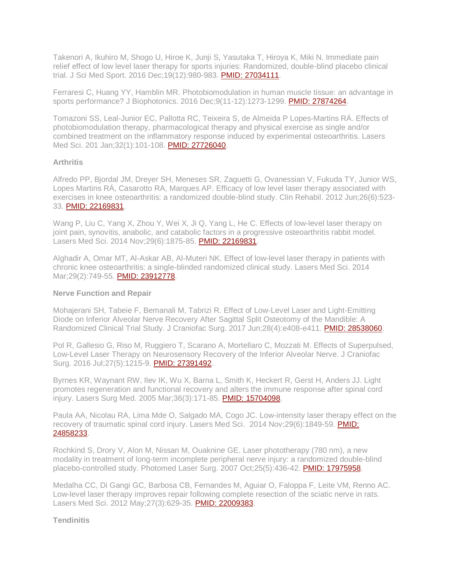Takenori A, Ikuhiro M, Shogo U, Hiroe K, Junji S, Yasutaka T, Hiroya K, Miki N. Immediate pain relief effect of low level laser therapy for sports injuries: Randomized, double-blind placebo clinical trial. J Sci Med Sport. 2016 Dec;19(12):980-983. [PMID: 27034111.](https://www.ncbi.nlm.nih.gov/pubmed/27034111)

Ferraresi C, Huang YY, Hamblin MR. Photobiomodulation in human muscle tissue: an advantage in sports performance? J Biophotonics. 2016 Dec;9(11-12):1273-1299. [PMID: 27874264.](https://www.ncbi.nlm.nih.gov/pubmed/27874264)

Tomazoni SS, Leal-Junior EC, Pallotta RC, Teixeira S, de Almeida P Lopes-Martins RÁ. Effects of photobiomodulation therapy, pharmacological therapy and physical exercise as single and/or combined treatment on the inflammatory response induced by experimental osteoarthritis. Lasers Med Sci. 201 Jan;32(1):101-108. [PMID: 27726040.](https://www.ncbi.nlm.nih.gov/pubmed/27726040)

#### **Arthritis**

Alfredo PP, Bjordal JM, Dreyer SH, Meneses SR, Zaguetti G, Ovanessian V, Fukuda TY, Junior WS, Lopes Martins RÁ, Casarotto RA, Marques AP. Efficacy of low level laser therapy associated with exercises in knee osteoarthritis: a randomized double-blind study. Clin Rehabil. 2012 Jun;26(6):523- 33. [PMID: 22169831.](https://www.ncbi.nlm.nih.gov/pubmed/22169831)

Wang P, Liu C, Yang X, Zhou Y, Wei X, Ji Q, Yang L, He C. Effects of low-level laser therapy on joint pain, synovitis, anabolic, and catabolic factors in a progressive osteoarthritis rabbit model. Lasers Med Sci. 2014 Nov;29(6):1875-85. [PMID: 22169831.](https://www.ncbi.nlm.nih.gov/pubmed/22169831)

Alghadir A, Omar MT, Al-Askar AB, Al-Muteri NK. Effect of low-level laser therapy in patients with chronic knee osteoarthritis: a single-blinded randomized clinical study. Lasers Med Sci. 2014 Mar;29(2):749-55. [PMID: 23912778.](https://www.ncbi.nlm.nih.gov/pubmed/23912778)

#### **Nerve Function and Repair**

Mohajerani SH, Tabeie F, Bemanali M, Tabrizi R. Effect of Low-Level Laser and Light-Emitting Diode on Inferior Alveolar Nerve Recovery After Sagittal Split Osteotomy of the Mandible: A Randomized Clinical Trial Study. J Craniofac Surg. 2017 Jun;28(4):e408-e411. [PMID: 28538060.](https://www.ncbi.nlm.nih.gov/pubmed/28538060)

Pol R, Gallesio G, Riso M, Ruggiero T, Scarano A, Mortellaro C, Mozzati M. Effects of Superpulsed, Low-Level Laser Therapy on Neurosensory Recovery of the Inferior Alveolar Nerve. J Craniofac Surg. 2016 Jul;27(5):1215-9. [PMID: 27391492.](https://www.ncbi.nlm.nih.gov/pubmed/27391492)

Byrnes KR, Waynant RW, Ilev IK, Wu X, Barna L, Smith K, Heckert R, Gerst H, Anders JJ. Light promotes regeneration and functional recovery and alters the immune response after spinal cord injury. Lasers Surg Med. 2005 Mar;36(3):171-85. [PMID: 15704098.](https://www.ncbi.nlm.nih.gov/pubmed/15704098)

Paula AA, Nicolau RA, Lima Mde O, Salgado MA, Cogo JC. Low-intensity laser therapy effect on the recovery of traumatic spinal cord injury. Lasers Med Sci. 2014 Nov;29(6):1849-59. PMID: [24858233.](https://www.ncbi.nlm.nih.gov/pubmed/24858233)

Rochkind S, Drory V, Alon M, Nissan M, Ouaknine GE. Laser phototherapy (780 nm), a new modality in treatment of long-term incomplete peripheral nerve injury: a randomized double-blind placebo-controlled study. Photomed Laser Surg. 2007 Oct;25(5):436-42. [PMID: 17975958.](https://www.ncbi.nlm.nih.gov/pubmed/17975958)

Medalha CC, Di Gangi GC, Barbosa CB, Fernandes M, Aguiar O, Faloppa F, Leite VM, Renno AC. Low-level laser therapy improves repair following complete resection of the sciatic nerve in rats. Lasers Med Sci. 2012 May;27(3):629-35. [PMID: 22009383.](https://www.ncbi.nlm.nih.gov/pubmed/22009383)

**Tendinitis**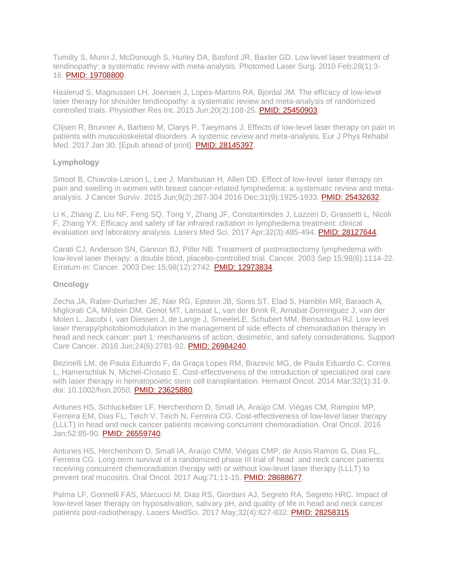Tumilty S, Munn J, McDonough S, Hurley DA, Basford JR, Baxter GD. Low level laser treatment of tendinopathy: a systematic review with meta-analysis. Photomed Laser Surg. 2010 Feb;28(1):3- 16. [PMID: 19708800.](https://www.ncbi.nlm.nih.gov/pubmed/19708800)

Haslerud S, Magnussen LH, Joensen J, Lopes-Martins RA, Bjordal JM. The efficacy of low-level laser therapy for shoulder tendinopathy: a systematic review and meta-analysis of randomized controlled trials. Physiother Res Int. 2015 Jun;20(2):108-25. [PMID: 25450903.](https://www.ncbi.nlm.nih.gov/pubmed/25450903)

Clijsen R, Brunner A, Barbero M, Clarys P, Taeymans J. Effects of low-level laser therapy on pain in patients with musculoskeletal disorders. A systemic review and meta-analysis. Eur J Phys Rehabil Med. 2017 Jan 30. [Epub ahead of print]. [PMID: 28145397.](https://www.ncbi.nlm.nih.gov/pubmed/28145397)

## **Lymphology**

Smoot B, Chiavola-Larson L, Lee J, Manibusan H, Allen DD. Effect of low-level laser therapy on pain and swelling in women with breast cancer-related lymphedema: a systematic review and metaanalysis. J Cancer Surviv. 2015 Jun;9(2):287-304 2016 Dec;31(9):1925-1933. [PMID: 25432632.](https://www.ncbi.nlm.nih.gov/pubmed/25432632)

Li K, Zhang Z, Liu NF, Feng SQ, Tong Y, Zhang JF, Constantinides J, Lazzeri D, Grassetti L, Nicoli F, Zhang YX. Efficacy and safety of far infrared radiation in lymphedema treatment: clinical evaluation and laboratory analysis. Lasers Med Sci. 2017 Apr;32(3):485-494. [PMID: 28127644.](https://www.ncbi.nlm.nih.gov/pubmed/28127644)

Carati CJ, Anderson SN, Gannon BJ, Piller NB. Treatment of postmastectomy lymphedema with low-level laser therapy: a double blind, placebo-controlled trial. Cancer. 2003 Sep 15;98(6):1114-22. Erratum in: Cancer. 2003 Dec 15;98(12):2742. [PMID: 12973834.](https://www.ncbi.nlm.nih.gov/pubmed/12973834)

# **Oncology**

Zecha JA, Raber-Durlacher JE, Nair RG, Epstein JB, Sonis ST, Elad S, Hamblin MR, Barasch A, Migliorati CA, Milstein DM, Genot MT, Lansaat L, van der Brink R, Arnabat-Dominguez J, van der Molen L, Jacobi I, van Diessen J, de Lange J, SmeeleLE, Schubert MM, Bensadoun RJ. Low level laser therapy/photobiomodulation in the management of side effects of chemoradiation therapy in head and neck cancer: part 1: mechanisms of action, dosimetric, and safety considerations. Support Care Cancer. 2016 Jun;24(6):2781-92. [PMID: 26984240.](https://www.ncbi.nlm.nih.gov/pubmed/26984240)

Bezinelli LM, de Paula Eduardo F, da Graça Lopes RM, Biazevic MG, de Paula Eduardo C, Correa L, Hamerschlak N, Michel-Crosato E. Cost-effectiveness of the introduction of specialized oral care with laser therapy in hematopoietic stem cell transplantation. Hematol Oncol. 2014 Mar;32(1):31-9. doi: 10.1002/hon.2050. [PMID: 23625880.](https://www.ncbi.nlm.nih.gov/pubmed/23625880)

Antunes HS, Schluckebier LF, Herchenhorn D, Small IA, Araújo CM, Viégas CM, Rampini MP, Ferreira EM, Dias FL, Teich V, Teich N, Ferreira CG. Cost-effectiveness of low-level laser therapy (LLLT) in head and neck cancer patients receiving concurrent chemoradiation. Oral Oncol. 2016 Jan;52:85-90. [PMID: 26559740.](https://www.ncbi.nlm.nih.gov/pubmed/26559740)

Antunes HS, Herchenhorn D, Small IA, Araújo CMM, Viégas CMP, de Assis Ramos G, Dias FL, Ferreira CG. Long-term survival of a randomized phase III trial of head and neck cancer patients receiving concurrent chemoradiation therapy with or without low-level laser therapy (LLLT) to prevent oral mucositis. Oral Oncol. 2017 Aug;71:11-15. [PMID: 28688677.](https://www.ncbi.nlm.nih.gov/pubmed/28688677)

Palma LF, Gonnelli FAS, Marcucci M, Dias RS, Giordani AJ, Segreto RA, Segreto HRC. Impact of low-level laser therapy on hyposalivation, salivary pH, and quality of life in head and neck cancer patients post-radiotherapy. Lasers MedSci. 2017 May;32(4):827-832. [PMID: 28258315.](https://www.ncbi.nlm.nih.gov/pubmed/28258315)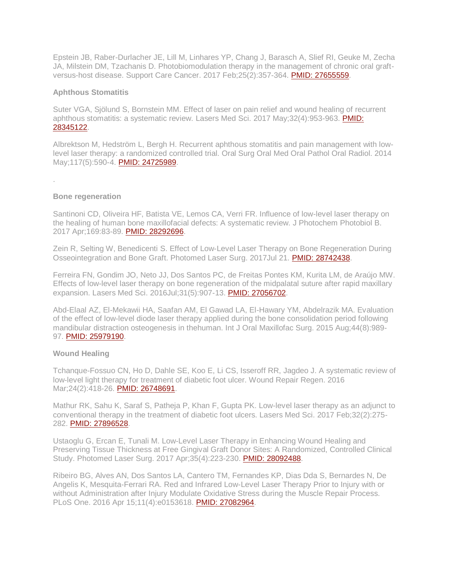Epstein JB, Raber-Durlacher JE, Lill M, Linhares YP, Chang J, Barasch A, Slief RI, Geuke M, Zecha JA, Milstein DM, Tzachanis D. Photobiomodulation therapy in the management of chronic oral graftversus-host disease. Support Care Cancer. 2017 Feb;25(2):357-364. [PMID: 27655559.](https://www.ncbi.nlm.nih.gov/pubmed/27655559)

#### **Aphthous Stomatitis**

Suter VGA, Sjölund S, Bornstein MM. Effect of laser on pain relief and wound healing of recurrent aphthous stomatitis: a systematic review. Lasers Med Sci. 2017 May;32(4):953-963. [PMID:](https://www.ncbi.nlm.nih.gov/pubmed/28345122)  [28345122.](https://www.ncbi.nlm.nih.gov/pubmed/28345122)

Albrektson M, Hedström L, Bergh H. Recurrent aphthous stomatitis and pain management with lowlevel laser therapy: a randomized controlled trial. Oral Surg Oral Med Oral Pathol Oral Radiol. 2014 May;117(5):590-4. [PMID: 24725989.](https://www.ncbi.nlm.nih.gov/pubmed/24725989)

#### **Bone regeneration**

.

Santinoni CD, Oliveira HF, Batista VE, Lemos CA, Verri FR. Influence of low-level laser therapy on the healing of human bone maxillofacial defects: A systematic review. J Photochem Photobiol B. 2017 Apr;169:83-89. [PMID: 28292696.](https://www.ncbi.nlm.nih.gov/pubmed/28292696)

Zein R, Selting W, Benedicenti S. Effect of Low-Level Laser Therapy on Bone Regeneration During Osseointegration and Bone Graft. Photomed Laser Surg. 2017Jul 21. [PMID: 28742438.](https://www.ncbi.nlm.nih.gov/pubmed/28742438)

Ferreira FN, Gondim JO, Neto JJ, Dos Santos PC, de Freitas Pontes KM, Kurita LM, de Araújo MW. Effects of low-level laser therapy on bone regeneration of the midpalatal suture after rapid maxillary expansion. Lasers Med Sci. 2016Jul;31(5):907-13. [PMID: 27056702.](https://www.ncbi.nlm.nih.gov/pubmed/27056702)

Abd-Elaal AZ, El-Mekawii HA, Saafan AM, El Gawad LA, El-Hawary YM, Abdelrazik MA. Evaluation of the effect of low-level diode laser therapy applied during the bone consolidation period following mandibular distraction osteogenesis in thehuman. Int J Oral Maxillofac Surg. 2015 Aug;44(8):989- 97. [PMID: 25979190.](https://www.ncbi.nlm.nih.gov/pubmed/25979190)

## **Wound Healing**

Tchanque-Fossuo CN, Ho D, Dahle SE, Koo E, Li CS, Isseroff RR, Jagdeo J. A systematic review of low-level light therapy for treatment of diabetic foot ulcer. Wound Repair Regen. 2016 Mar; 24(2): 418-26. [PMID: 26748691.](https://www.ncbi.nlm.nih.gov/pubmed/26748691)

Mathur RK, Sahu K, Saraf S, Patheja P, Khan F, Gupta PK. Low-level laser therapy as an adjunct to conventional therapy in the treatment of diabetic foot ulcers. Lasers Med Sci. 2017 Feb;32(2):275- 282. [PMID: 27896528.](https://www.ncbi.nlm.nih.gov/pubmed/27896528)

Ustaoglu G, Ercan E, Tunali M. Low-Level Laser Therapy in Enhancing Wound Healing and Preserving Tissue Thickness at Free Gingival Graft Donor Sites: A Randomized, Controlled Clinical Study. Photomed Laser Surg. 2017 Apr;35(4):223-230. [PMID: 28092488.](https://www.ncbi.nlm.nih.gov/pubmed/28092488)

Ribeiro BG, Alves AN, Dos Santos LA, Cantero TM, Fernandes KP, Dias Dda S, Bernardes N, De Angelis K, Mesquita-Ferrari RA. Red and Infrared Low-Level Laser Therapy Prior to Injury with or without Administration after Injury Modulate Oxidative Stress during the Muscle Repair Process. PLoS One. 2016 Apr 15;11(4):e0153618. [PMID: 27082964.](https://www.ncbi.nlm.nih.gov/pubmed/27082964)